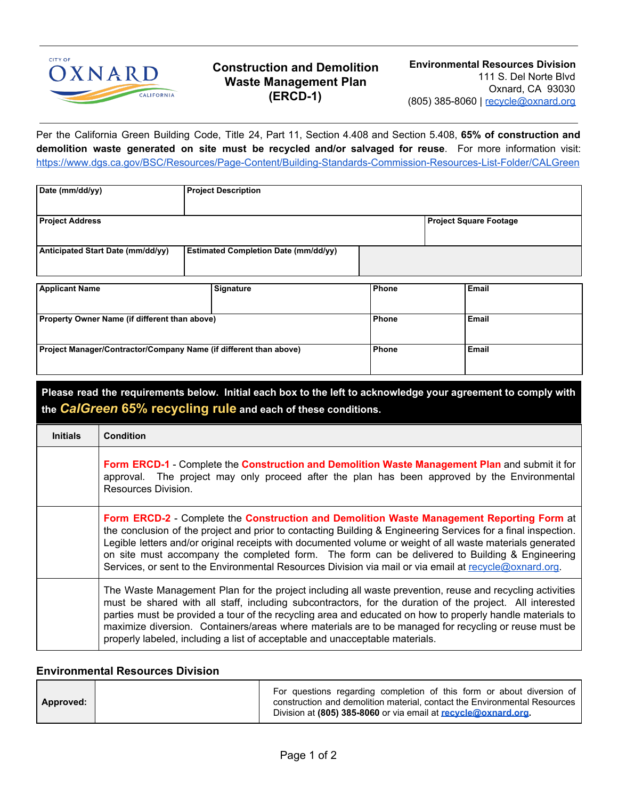

## **Construction and Demolition Waste Management Plan (ERCD-1)**

Per the California Green Building Code, Title 24, Part 11, Section 4.408 and Section 5.408, **65% of construction and demolition waste generated on site must be recycled and/or salvaged for reuse**. For more information visit: <https://www.dgs.ca.gov/BSC/Resources/Page-Content/Building-Standards-Commission-Resources-List-Folder/CALGreen>

| Date (mm/dd/yy)                                                   | <b>Project Description</b> |                                             |       |                               |       |  |
|-------------------------------------------------------------------|----------------------------|---------------------------------------------|-------|-------------------------------|-------|--|
| <b>Project Address</b>                                            |                            |                                             |       | <b>Project Square Footage</b> |       |  |
| Anticipated Start Date (mm/dd/yy)                                 |                            | <b>Estimated Completion Date (mm/dd/yy)</b> |       |                               |       |  |
| <b>Applicant Name</b>                                             |                            | Signature                                   | Phone |                               | Email |  |
| Property Owner Name (if different than above)                     |                            | Phone                                       |       | Email                         |       |  |
| Project Manager/Contractor/Company Name (if different than above) |                            |                                             | Phone |                               | Email |  |

| Please read the requirements below. Initial each box to the left to acknowledge your agreement to comply with<br>the <b>CalGreen 65% recycling rule</b> and each of these conditions. |                                                                                                                                                                                                                                                                                                                                                                                                                                                                                                                                      |  |  |  |
|---------------------------------------------------------------------------------------------------------------------------------------------------------------------------------------|--------------------------------------------------------------------------------------------------------------------------------------------------------------------------------------------------------------------------------------------------------------------------------------------------------------------------------------------------------------------------------------------------------------------------------------------------------------------------------------------------------------------------------------|--|--|--|
| <b>Initials</b>                                                                                                                                                                       | <b>Condition</b>                                                                                                                                                                                                                                                                                                                                                                                                                                                                                                                     |  |  |  |
|                                                                                                                                                                                       | Form ERCD-1 - Complete the Construction and Demolition Waste Management Plan and submit it for<br>approval. The project may only proceed after the plan has been approved by the Environmental<br>Resources Division.                                                                                                                                                                                                                                                                                                                |  |  |  |
|                                                                                                                                                                                       | Form ERCD-2 - Complete the Construction and Demolition Waste Management Reporting Form at<br>the conclusion of the project and prior to contacting Building & Engineering Services for a final inspection.<br>Legible letters and/or original receipts with documented volume or weight of all waste materials generated<br>on site must accompany the completed form. The form can be delivered to Building & Engineering<br>Services, or sent to the Environmental Resources Division via mail or via email at recycle@oxnard.org. |  |  |  |
|                                                                                                                                                                                       | The Waste Management Plan for the project including all waste prevention, reuse and recycling activities<br>must be shared with all staff, including subcontractors, for the duration of the project. All interested<br>parties must be provided a tour of the recycling area and educated on how to properly handle materials to<br>maximize diversion. Containers/areas where materials are to be managed for recycling or reuse must be<br>properly labeled, including a list of acceptable and unacceptable materials.           |  |  |  |

## **Environmental Resources Division**

|           | For questions regarding completion of this form or about diversion of                                                                       |
|-----------|---------------------------------------------------------------------------------------------------------------------------------------------|
| Approved: | construction and demolition material, contact the Environmental Resources<br>Division at (805) 385-8060 or via email at recycle@oxnard.org. |